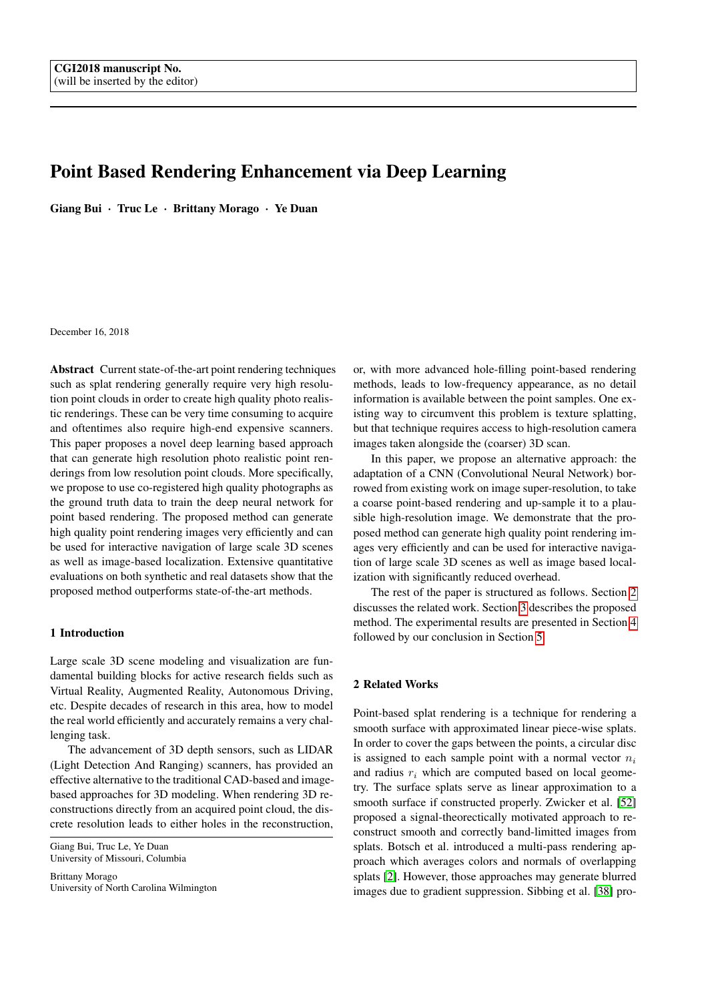# Point Based Rendering Enhancement via Deep Learning

Giang Bui · Truc Le · Brittany Morago · Ye Duan

December 16, 2018

Abstract Current state-of-the-art point rendering techniques such as splat rendering generally require very high resolution point clouds in order to create high quality photo realistic renderings. These can be very time consuming to acquire and oftentimes also require high-end expensive scanners. This paper proposes a novel deep learning based approach that can generate high resolution photo realistic point renderings from low resolution point clouds. More specifically, we propose to use co-registered high quality photographs as the ground truth data to train the deep neural network for point based rendering. The proposed method can generate high quality point rendering images very efficiently and can be used for interactive navigation of large scale 3D scenes as well as image-based localization. Extensive quantitative evaluations on both synthetic and real datasets show that the proposed method outperforms state-of-the-art methods.

# 1 Introduction

Large scale 3D scene modeling and visualization are fundamental building blocks for active research fields such as Virtual Reality, Augmented Reality, Autonomous Driving, etc. Despite decades of research in this area, how to model the real world efficiently and accurately remains a very challenging task.

The advancement of 3D depth sensors, such as LIDAR (Light Detection And Ranging) scanners, has provided an effective alternative to the traditional CAD-based and imagebased approaches for 3D modeling. When rendering 3D reconstructions directly from an acquired point cloud, the discrete resolution leads to either holes in the reconstruction,

Giang Bui, Truc Le, Ye Duan University of Missouri, Columbia

Brittany Morago University of North Carolina Wilmington or, with more advanced hole-filling point-based rendering methods, leads to low-frequency appearance, as no detail information is available between the point samples. One existing way to circumvent this problem is texture splatting, but that technique requires access to high-resolution camera images taken alongside the (coarser) 3D scan.

In this paper, we propose an alternative approach: the adaptation of a CNN (Convolutional Neural Network) borrowed from existing work on image super-resolution, to take a coarse point-based rendering and up-sample it to a plausible high-resolution image. We demonstrate that the proposed method can generate high quality point rendering images very efficiently and can be used for interactive navigation of large scale 3D scenes as well as image based localization with significantly reduced overhead.

The rest of the paper is structured as follows. Section [2](#page-0-0) discusses the related work. Section [3](#page-2-0) describes the proposed method. The experimental results are presented in Section [4](#page-5-0) followed by our conclusion in Section [5.](#page-9-0)

# <span id="page-0-0"></span>2 Related Works

Point-based splat rendering is a technique for rendering a smooth surface with approximated linear piece-wise splats. In order to cover the gaps between the points, a circular disc is assigned to each sample point with a normal vector  $n_i$ and radius  $r_i$  which are computed based on local geometry. The surface splats serve as linear approximation to a smooth surface if constructed properly. Zwicker et al. [\[52\]](#page-12-0) proposed a signal-theorectically motivated approach to reconstruct smooth and correctly band-limitted images from splats. Botsch et al. introduced a multi-pass rendering approach which averages colors and normals of overlapping splats [\[2\]](#page-10-0). However, those approaches may generate blurred images due to gradient suppression. Sibbing et al. [\[38\]](#page-11-0) pro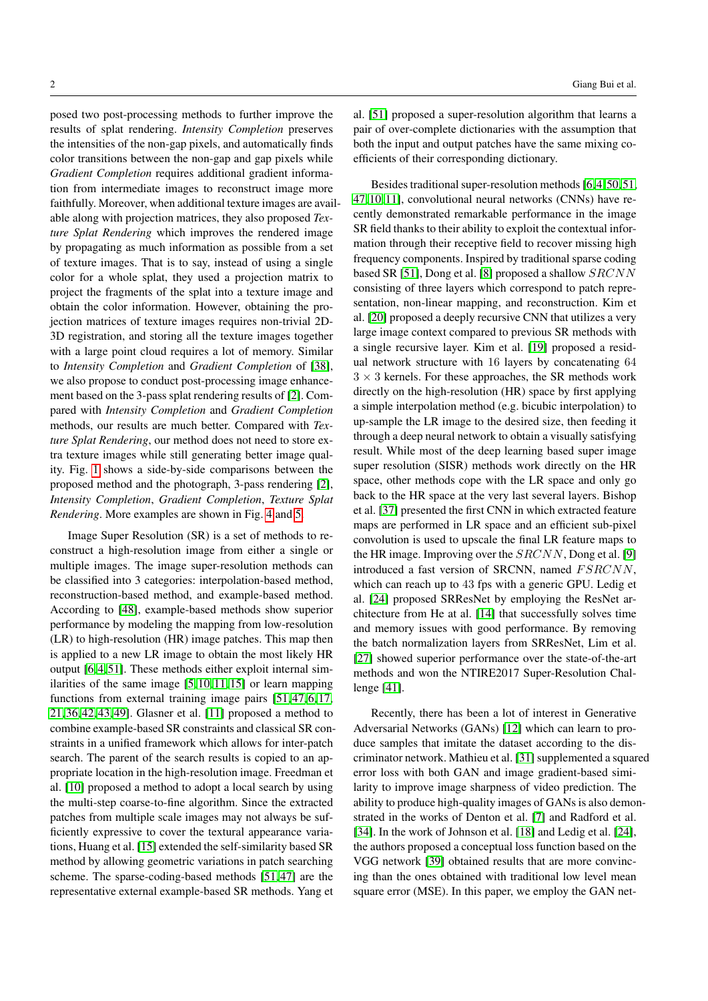posed two post-processing methods to further improve the results of splat rendering. *Intensity Completion* preserves the intensities of the non-gap pixels, and automatically finds color transitions between the non-gap and gap pixels while *Gradient Completion* requires additional gradient information from intermediate images to reconstruct image more faithfully. Moreover, when additional texture images are available along with projection matrices, they also proposed *Texture Splat Rendering* which improves the rendered image by propagating as much information as possible from a set of texture images. That is to say, instead of using a single color for a whole splat, they used a projection matrix to project the fragments of the splat into a texture image and obtain the color information. However, obtaining the projection matrices of texture images requires non-trivial 2D-3D registration, and storing all the texture images together with a large point cloud requires a lot of memory. Similar to *Intensity Completion* and *Gradient Completion* of [\[38\]](#page-11-0), we also propose to conduct post-processing image enhancement based on the 3-pass splat rendering results of [\[2\]](#page-10-0). Compared with *Intensity Completion* and *Gradient Completion* methods, our results are much better. Compared with *Texture Splat Rendering*, our method does not need to store extra texture images while still generating better image quality. Fig. [1](#page-3-0) shows a side-by-side comparisons between the proposed method and the photograph, 3-pass rendering [\[2\]](#page-10-0), *Intensity Completion*, *Gradient Completion*, *Texture Splat Rendering*. More examples are shown in Fig. [4](#page-7-0) and [5.](#page-8-0)

Image Super Resolution (SR) is a set of methods to reconstruct a high-resolution image from either a single or multiple images. The image super-resolution methods can be classified into 3 categories: interpolation-based method, reconstruction-based method, and example-based method. According to [\[48\]](#page-11-1), example-based methods show superior performance by modeling the mapping from low-resolution (LR) to high-resolution (HR) image patches. This map then is applied to a new LR image to obtain the most likely HR output [\[6,](#page-10-1) [4,](#page-10-2) [51\]](#page-12-1). These methods either exploit internal similarities of the same image [\[5,](#page-10-3)[10,](#page-11-2) [11,](#page-11-3)[15\]](#page-11-4) or learn mapping functions from external training image pairs [\[51,](#page-12-1) [47,](#page-11-5) [6,](#page-10-1) [17,](#page-11-6) [21,](#page-11-7) [36,](#page-11-8)[42,](#page-11-9) [43,](#page-11-10)[49\]](#page-11-11). Glasner et al. [\[11\]](#page-11-3) proposed a method to combine example-based SR constraints and classical SR constraints in a unified framework which allows for inter-patch search. The parent of the search results is copied to an appropriate location in the high-resolution image. Freedman et al. [\[10\]](#page-11-2) proposed a method to adopt a local search by using the multi-step coarse-to-fine algorithm. Since the extracted patches from multiple scale images may not always be sufficiently expressive to cover the textural appearance variations, Huang et al. [\[15\]](#page-11-4) extended the self-similarity based SR method by allowing geometric variations in patch searching scheme. The sparse-coding-based methods [\[51,](#page-12-1) [47\]](#page-11-5) are the representative external example-based SR methods. Yang et

al. [\[51\]](#page-12-1) proposed a super-resolution algorithm that learns a pair of over-complete dictionaries with the assumption that both the input and output patches have the same mixing coefficients of their corresponding dictionary.

Besides traditional super-resolution methods [\[6,](#page-10-1) [4,](#page-10-2)[50,](#page-11-12) [51,](#page-12-1) [47,](#page-11-5) [10,](#page-11-2)[11\]](#page-11-3), convolutional neural networks (CNNs) have recently demonstrated remarkable performance in the image SR field thanks to their ability to exploit the contextual information through their receptive field to recover missing high frequency components. Inspired by traditional sparse coding based SR [\[51\]](#page-12-1), Dong et al. [\[8\]](#page-10-4) proposed a shallow SRCNN consisting of three layers which correspond to patch representation, non-linear mapping, and reconstruction. Kim et al. [\[20\]](#page-11-13) proposed a deeply recursive CNN that utilizes a very large image context compared to previous SR methods with a single recursive layer. Kim et al. [\[19\]](#page-11-14) proposed a residual network structure with 16 layers by concatenating 64  $3 \times 3$  kernels. For these approaches, the SR methods work directly on the high-resolution (HR) space by first applying a simple interpolation method (e.g. bicubic interpolation) to up-sample the LR image to the desired size, then feeding it through a deep neural network to obtain a visually satisfying result. While most of the deep learning based super image super resolution (SISR) methods work directly on the HR space, other methods cope with the LR space and only go back to the HR space at the very last several layers. Bishop et al. [\[37\]](#page-11-15) presented the first CNN in which extracted feature maps are performed in LR space and an efficient sub-pixel convolution is used to upscale the final LR feature maps to the HR image. Improving over the  $SRCNN$ , Dong et al. [\[9\]](#page-11-16) introduced a fast version of SRCNN, named FSRCNN, which can reach up to 43 fps with a generic GPU. Ledig et al. [\[24\]](#page-11-17) proposed SRResNet by employing the ResNet architecture from He at al. [\[14\]](#page-11-18) that successfully solves time and memory issues with good performance. By removing the batch normalization layers from SRResNet, Lim et al. [\[27\]](#page-11-19) showed superior performance over the state-of-the-art methods and won the NTIRE2017 Super-Resolution Challenge [\[41\]](#page-11-20).

Recently, there has been a lot of interest in Generative Adversarial Networks (GANs) [\[12\]](#page-11-21) which can learn to produce samples that imitate the dataset according to the discriminator network. Mathieu et al. [\[31\]](#page-11-22) supplemented a squared error loss with both GAN and image gradient-based similarity to improve image sharpness of video prediction. The ability to produce high-quality images of GANs is also demonstrated in the works of Denton et al. [\[7\]](#page-10-5) and Radford et al. [\[34\]](#page-11-23). In the work of Johnson et al. [\[18\]](#page-11-24) and Ledig et al. [\[24\]](#page-11-17), the authors proposed a conceptual loss function based on the VGG network [\[39\]](#page-11-25) obtained results that are more convincing than the ones obtained with traditional low level mean square error (MSE). In this paper, we employ the GAN net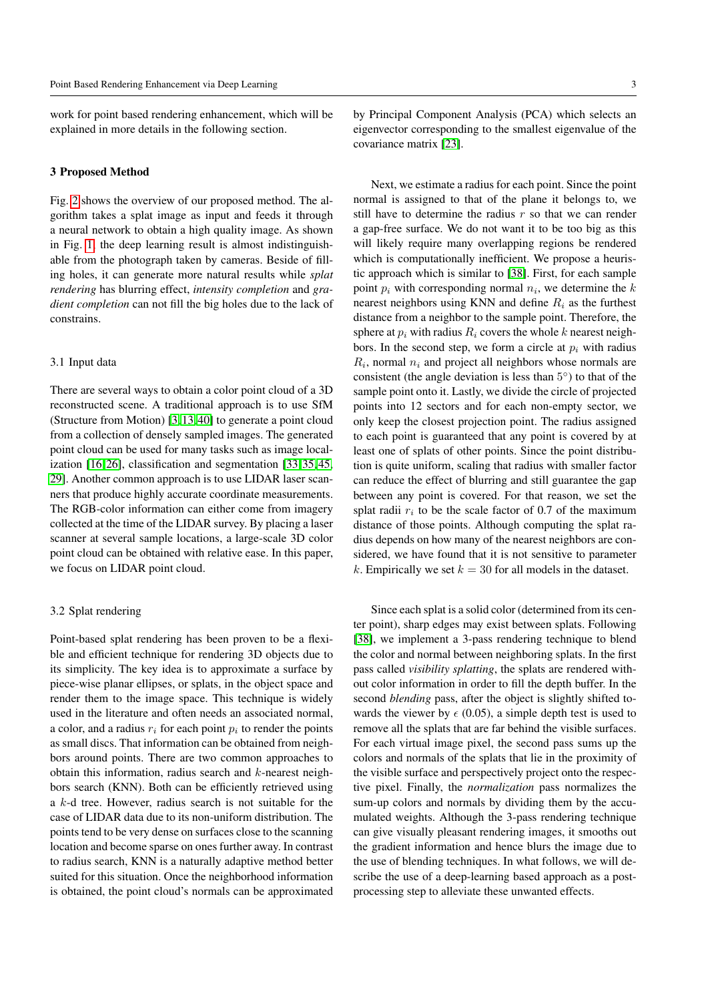work for point based rendering enhancement, which will be explained in more details in the following section.

#### <span id="page-2-0"></span>3 Proposed Method

Fig. [2](#page-3-1) shows the overview of our proposed method. The algorithm takes a splat image as input and feeds it through a neural network to obtain a high quality image. As shown in Fig. [1,](#page-3-0) the deep learning result is almost indistinguishable from the photograph taken by cameras. Beside of filling holes, it can generate more natural results while *splat rendering* has blurring effect, *intensity completion* and *gradient completion* can not fill the big holes due to the lack of constrains.

#### 3.1 Input data

There are several ways to obtain a color point cloud of a 3D reconstructed scene. A traditional approach is to use SfM (Structure from Motion) [\[3,](#page-10-6) [13,](#page-11-26) [40\]](#page-11-27) to generate a point cloud from a collection of densely sampled images. The generated point cloud can be used for many tasks such as image localization [\[16,](#page-11-28) [26\]](#page-11-29), classification and segmentation [\[33,](#page-11-30)[35,](#page-11-31)[45,](#page-11-32) [29\]](#page-11-33). Another common approach is to use LIDAR laser scanners that produce highly accurate coordinate measurements. The RGB-color information can either come from imagery collected at the time of the LIDAR survey. By placing a laser scanner at several sample locations, a large-scale 3D color point cloud can be obtained with relative ease. In this paper, we focus on LIDAR point cloud.

## 3.2 Splat rendering

Point-based splat rendering has been proven to be a flexible and efficient technique for rendering 3D objects due to its simplicity. The key idea is to approximate a surface by piece-wise planar ellipses, or splats, in the object space and render them to the image space. This technique is widely used in the literature and often needs an associated normal, a color, and a radius  $r_i$  for each point  $p_i$  to render the points as small discs. That information can be obtained from neighbors around points. There are two common approaches to obtain this information, radius search and  $k$ -nearest neighbors search (KNN). Both can be efficiently retrieved using a k-d tree. However, radius search is not suitable for the case of LIDAR data due to its non-uniform distribution. The points tend to be very dense on surfaces close to the scanning location and become sparse on ones further away. In contrast to radius search, KNN is a naturally adaptive method better suited for this situation. Once the neighborhood information is obtained, the point cloud's normals can be approximated

by Principal Component Analysis (PCA) which selects an eigenvector corresponding to the smallest eigenvalue of the covariance matrix [\[23\]](#page-11-34).

Next, we estimate a radius for each point. Since the point normal is assigned to that of the plane it belongs to, we still have to determine the radius  $r$  so that we can render a gap-free surface. We do not want it to be too big as this will likely require many overlapping regions be rendered which is computationally inefficient. We propose a heuristic approach which is similar to [\[38\]](#page-11-0). First, for each sample point  $p_i$  with corresponding normal  $n_i$ , we determine the  $k$ nearest neighbors using KNN and define  $R_i$  as the furthest distance from a neighbor to the sample point. Therefore, the sphere at  $p_i$  with radius  $R_i$  covers the whole k nearest neighbors. In the second step, we form a circle at  $p_i$  with radius  $R_i$ , normal  $n_i$  and project all neighbors whose normals are consistent (the angle deviation is less than  $5^{\circ}$ ) to that of the sample point onto it. Lastly, we divide the circle of projected points into 12 sectors and for each non-empty sector, we only keep the closest projection point. The radius assigned to each point is guaranteed that any point is covered by at least one of splats of other points. Since the point distribution is quite uniform, scaling that radius with smaller factor can reduce the effect of blurring and still guarantee the gap between any point is covered. For that reason, we set the splat radii  $r_i$  to be the scale factor of 0.7 of the maximum distance of those points. Although computing the splat radius depends on how many of the nearest neighbors are considered, we have found that it is not sensitive to parameter k. Empirically we set  $k = 30$  for all models in the dataset.

Since each splat is a solid color (determined from its center point), sharp edges may exist between splats. Following [\[38\]](#page-11-0), we implement a 3-pass rendering technique to blend the color and normal between neighboring splats. In the first pass called *visibility splatting*, the splats are rendered without color information in order to fill the depth buffer. In the second *blending* pass, after the object is slightly shifted towards the viewer by  $\epsilon$  (0.05), a simple depth test is used to remove all the splats that are far behind the visible surfaces. For each virtual image pixel, the second pass sums up the colors and normals of the splats that lie in the proximity of the visible surface and perspectively project onto the respective pixel. Finally, the *normalization* pass normalizes the sum-up colors and normals by dividing them by the accumulated weights. Although the 3-pass rendering technique can give visually pleasant rendering images, it smooths out the gradient information and hence blurs the image due to the use of blending techniques. In what follows, we will describe the use of a deep-learning based approach as a postprocessing step to alleviate these unwanted effects.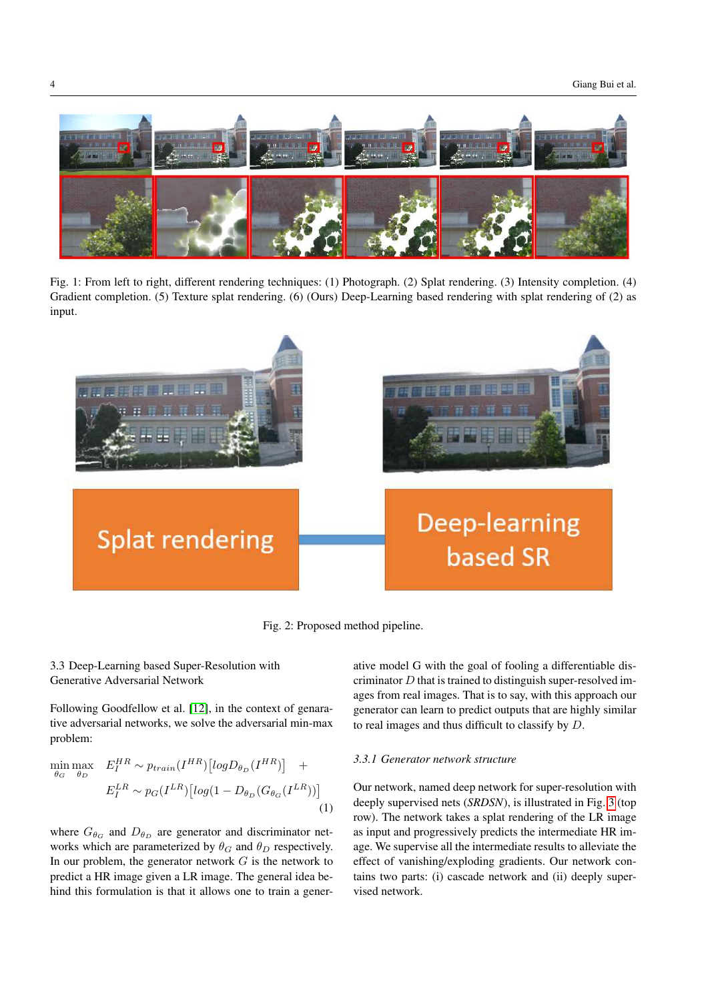<span id="page-3-0"></span>

Fig. 1: From left to right, different rendering techniques: (1) Photograph. (2) Splat rendering. (3) Intensity completion. (4) Gradient completion. (5) Texture splat rendering. (6) (Ours) Deep-Learning based rendering with splat rendering of (2) as input.

<span id="page-3-1"></span>

Fig. 2: Proposed method pipeline.

# 3.3 Deep-Learning based Super-Resolution with Generative Adversarial Network

<span id="page-3-2"></span>Following Goodfellow et al. [\[12\]](#page-11-21), in the context of genarative adversarial networks, we solve the adversarial min-max problem:

$$
\min_{\theta_G} \max_{\theta_D} E_I^{HR} \sim p_{train}(I^{HR}) [log D_{\theta_D}(I^{HR})] + E_I^{LR} \sim p_G(I^{LR}) [log(1 - D_{\theta_D}(G_{\theta_G}(I^{LR})))] \tag{1}
$$

where  $G_{\theta_G}$  and  $D_{\theta_D}$  are generator and discriminator networks which are parameterized by  $\theta_G$  and  $\theta_D$  respectively. In our problem, the generator network  $G$  is the network to predict a HR image given a LR image. The general idea behind this formulation is that it allows one to train a generative model G with the goal of fooling a differentiable discriminator  $D$  that is trained to distinguish super-resolved images from real images. That is to say, with this approach our generator can learn to predict outputs that are highly similar to real images and thus difficult to classify by D.

# *3.3.1 Generator network structure*

Our network, named deep network for super-resolution with deeply supervised nets (*SRDSN*), is illustrated in Fig. [3](#page-4-0) (top row). The network takes a splat rendering of the LR image as input and progressively predicts the intermediate HR image. We supervise all the intermediate results to alleviate the effect of vanishing/exploding gradients. Our network contains two parts: (i) cascade network and (ii) deeply supervised network.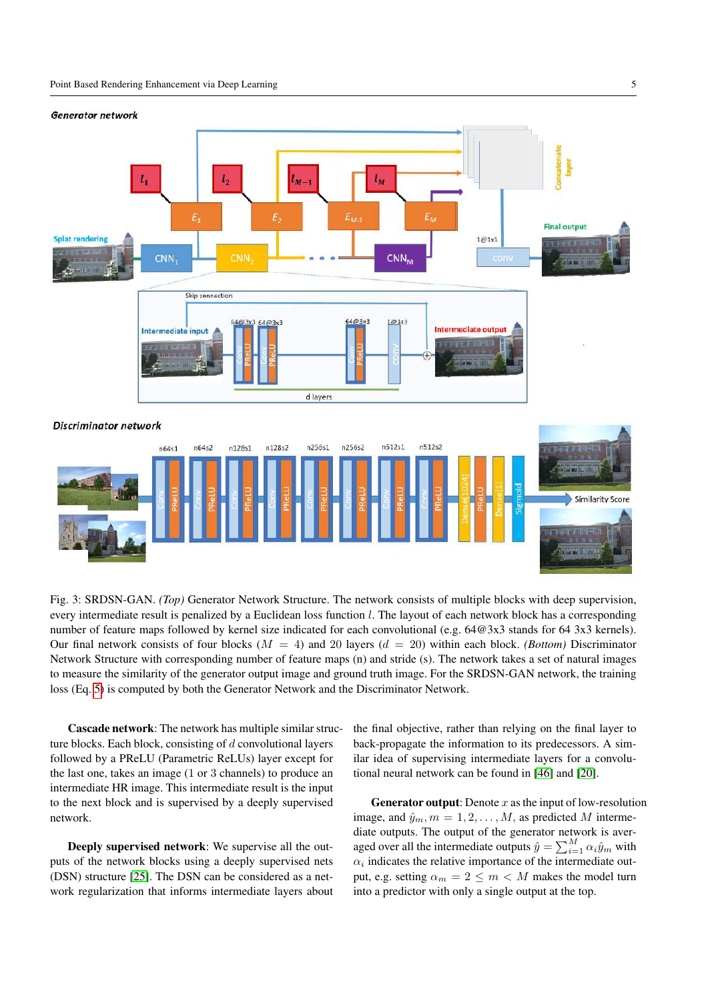<span id="page-4-0"></span>



Fig. 3: SRDSN-GAN. *(Top)* Generator Network Structure. The network consists of multiple blocks with deep supervision, every intermediate result is penalized by a Euclidean loss function l. The layout of each network block has a corresponding number of feature maps followed by kernel size indicated for each convolutional (e.g. 64@3x3 stands for 64 3x3 kernels). Our final network consists of four blocks  $(M = 4)$  and 20 layers  $(d = 20)$  within each block. *(Bottom)* Discriminator Network Structure with corresponding number of feature maps (n) and stride (s). The network takes a set of natural images to measure the similarity of the generator output image and ground truth image. For the SRDSN-GAN network, the training loss (Eq. [5\)](#page-5-1) is computed by both the Generator Network and the Discriminator Network.

Cascade network: The network has multiple similar structure blocks. Each block, consisting of d convolutional layers followed by a PReLU (Parametric ReLUs) layer except for the last one, takes an image (1 or 3 channels) to produce an intermediate HR image. This intermediate result is the input to the next block and is supervised by a deeply supervised network.

Deeply supervised network: We supervise all the outputs of the network blocks using a deeply supervised nets (DSN) structure [\[25\]](#page-11-35). The DSN can be considered as a network regularization that informs intermediate layers about

the final objective, rather than relying on the final layer to back-propagate the information to its predecessors. A similar idea of supervising intermediate layers for a convolutional neural network can be found in [\[46\]](#page-11-36) and [\[20\]](#page-11-13).

**Generator output:** Denote  $x$  as the input of low-resolution image, and  $\hat{y}_m$ ,  $m = 1, 2, \dots, M$ , as predicted M intermediate outputs. The output of the generator network is averaged over all the intermediate outputs  $\hat{y} = \sum_{i=1}^{M} \alpha_i \hat{y}_m$  with  $\alpha_i$  indicates the relative importance of the intermediate output, e.g. setting  $\alpha_m = 2 \leq m < M$  makes the model turn into a predictor with only a single output at the top.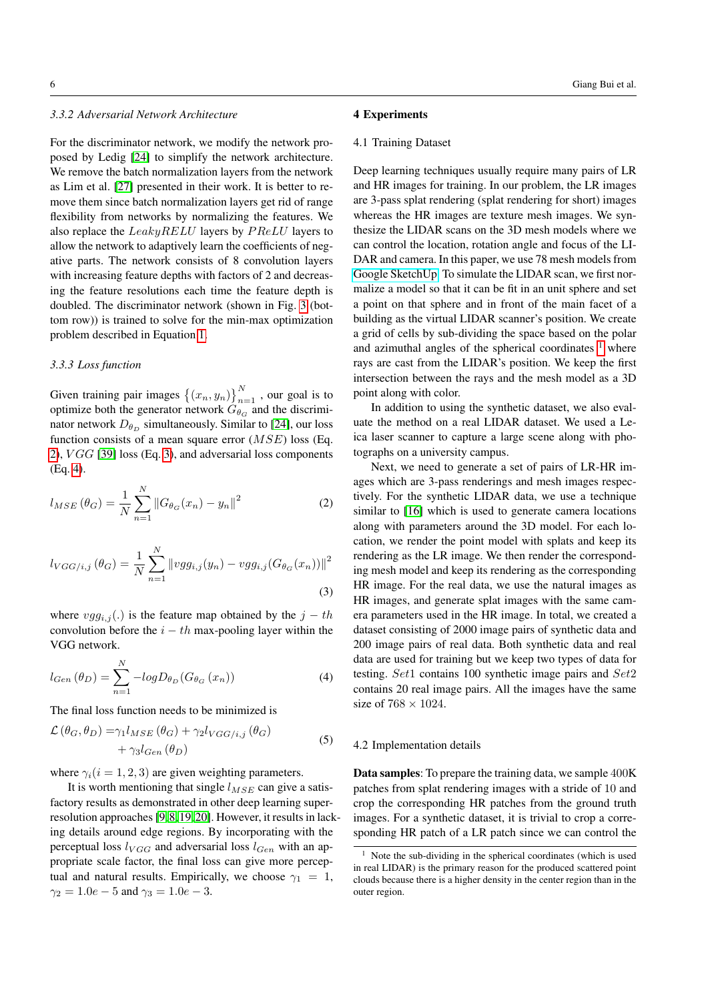# *3.3.2 Adversarial Network Architecture*

For the discriminator network, we modify the network proposed by Ledig [\[24\]](#page-11-17) to simplify the network architecture. We remove the batch normalization layers from the network as Lim et al. [\[27\]](#page-11-19) presented in their work. It is better to remove them since batch normalization layers get rid of range flexibility from networks by normalizing the features. We also replace the  $LeakyRELU$  layers by  $PReLU$  layers to allow the network to adaptively learn the coefficients of negative parts. The network consists of 8 convolution layers with increasing feature depths with factors of 2 and decreasing the feature resolutions each time the feature depth is doubled. The discriminator network (shown in Fig. [3](#page-4-0) (bottom row)) is trained to solve for the min-max optimization problem described in Equation [1.](#page-3-2)

#### *3.3.3 Loss function*

Given training pair images  $\{(x_n, y_n)\}_{n=1}^N$ , our goal is to optimize both the generator network  $G_{\theta_{\text{G}}}$  and the discriminator network  $D_{\theta_D}$  simultaneously. Similar to [\[24\]](#page-11-17), our loss function consists of a mean square error  $(MSE)$  loss (Eq. [2\)](#page-5-2),  $VGG$  [\[39\]](#page-11-25) loss (Eq. [3\)](#page-5-3), and adversarial loss components (Eq. [4\)](#page-5-4).

<span id="page-5-2"></span>
$$
l_{MSE}(\theta_G) = \frac{1}{N} \sum_{n=1}^{N} ||G_{\theta_G}(x_n) - y_n||^2
$$
 (2)

<span id="page-5-3"></span>
$$
l_{VGG/i,j}(\theta_G) = \frac{1}{N} \sum_{n=1}^{N} ||vgg_{i,j}(y_n) - vgg_{i,j}(G_{\theta_G}(x_n))||^2
$$
\n(3)

where  $vgg_{i,j}(.)$  is the feature map obtained by the  $j-th$ convolution before the  $i - th$  max-pooling layer within the VGG network.

<span id="page-5-4"></span>
$$
l_{Gen}(\theta_D) = \sum_{n=1}^{N} -logD_{\theta_D}(G_{\theta_G}(x_n))
$$
\n(4)

The final loss function needs to be minimized is

$$
\mathcal{L}(\theta_G, \theta_D) = \gamma_1 l_{MSE}(\theta_G) + \gamma_2 l_{VGG/i,j}(\theta_G) + \gamma_3 l_{Gen}(\theta_D)
$$
\n(5)

where  $\gamma_i(i = 1, 2, 3)$  are given weighting parameters.

It is worth mentioning that single  $l_{MSE}$  can give a satisfactory results as demonstrated in other deep learning superresolution approaches [\[9,](#page-11-16) [8,](#page-10-4)[19,](#page-11-14) [20\]](#page-11-13). However, it results in lacking details around edge regions. By incorporating with the perceptual loss  $l_{VGG}$  and adversarial loss  $l_{Gen}$  with an appropriate scale factor, the final loss can give more perceptual and natural results. Empirically, we choose  $\gamma_1 = 1$ ,  $\gamma_2 = 1.0e - 5$  and  $\gamma_3 = 1.0e - 3$ .

## <span id="page-5-0"></span>4 Experiments

#### <span id="page-5-6"></span>4.1 Training Dataset

Deep learning techniques usually require many pairs of LR and HR images for training. In our problem, the LR images are 3-pass splat rendering (splat rendering for short) images whereas the HR images are texture mesh images. We synthesize the LIDAR scans on the 3D mesh models where we can control the location, rotation angle and focus of the LI-DAR and camera. In this paper, we use 78 mesh models from [Google SketchUp.](http://www.sketchup.com/) To simulate the LIDAR scan, we first normalize a model so that it can be fit in an unit sphere and set a point on that sphere and in front of the main facet of a building as the virtual LIDAR scanner's position. We create a grid of cells by sub-dividing the space based on the polar and azimuthal angles of the spherical coordinates  $1$  where rays are cast from the LIDAR's position. We keep the first intersection between the rays and the mesh model as a 3D point along with color.

In addition to using the synthetic dataset, we also evaluate the method on a real LIDAR dataset. We used a Leica laser scanner to capture a large scene along with photographs on a university campus.

Next, we need to generate a set of pairs of LR-HR images which are 3-pass renderings and mesh images respectively. For the synthetic LIDAR data, we use a technique similar to [\[16\]](#page-11-28) which is used to generate camera locations along with parameters around the 3D model. For each location, we render the point model with splats and keep its rendering as the LR image. We then render the corresponding mesh model and keep its rendering as the corresponding HR image. For the real data, we use the natural images as HR images, and generate splat images with the same camera parameters used in the HR image. In total, we created a dataset consisting of 2000 image pairs of synthetic data and 200 image pairs of real data. Both synthetic data and real data are used for training but we keep two types of data for testing. Set1 contains 100 synthetic image pairs and Set2 contains 20 real image pairs. All the images have the same size of  $768 \times 1024$ .

#### <span id="page-5-1"></span>4.2 Implementation details

Data samples: To prepare the training data, we sample 400K patches from splat rendering images with a stride of 10 and crop the corresponding HR patches from the ground truth images. For a synthetic dataset, it is trivial to crop a corresponding HR patch of a LR patch since we can control the

<span id="page-5-5"></span> $1$  Note the sub-dividing in the spherical coordinates (which is used in real LIDAR) is the primary reason for the produced scattered point clouds because there is a higher density in the center region than in the outer region.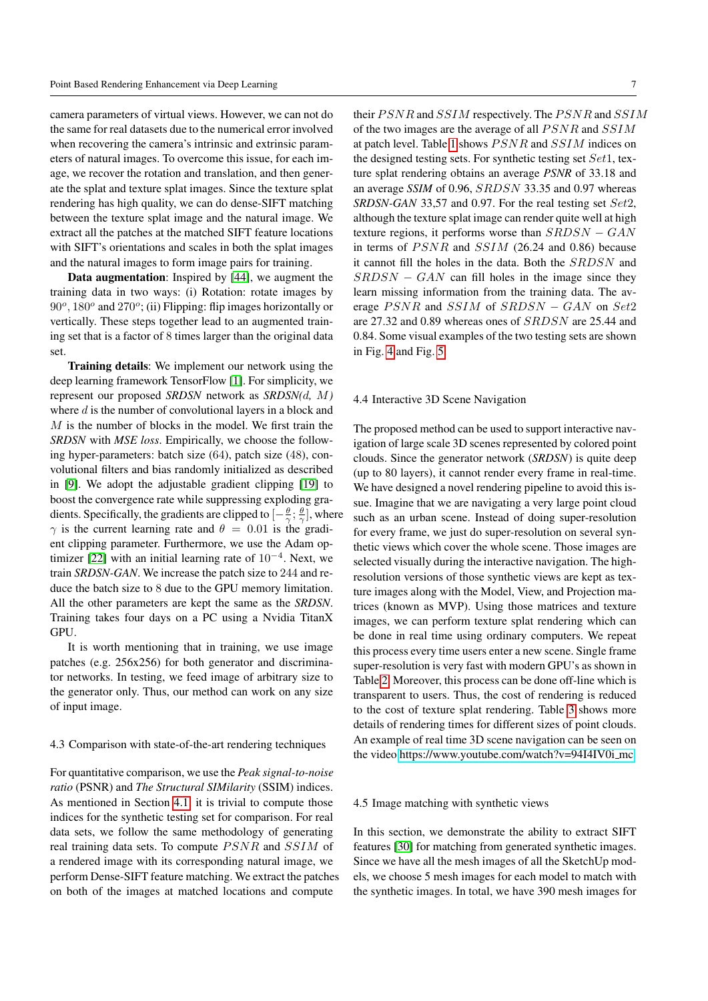camera parameters of virtual views. However, we can not do the same for real datasets due to the numerical error involved when recovering the camera's intrinsic and extrinsic parameters of natural images. To overcome this issue, for each image, we recover the rotation and translation, and then generate the splat and texture splat images. Since the texture splat rendering has high quality, we can do dense-SIFT matching between the texture splat image and the natural image. We extract all the patches at the matched SIFT feature locations with SIFT's orientations and scales in both the splat images and the natural images to form image pairs for training.

Data augmentation: Inspired by [\[44\]](#page-11-37), we augment the training data in two ways: (i) Rotation: rotate images by 90°, 180° and 270°; (ii) Flipping: flip images horizontally or vertically. These steps together lead to an augmented training set that is a factor of 8 times larger than the original data set.

Training details: We implement our network using the deep learning framework TensorFlow [\[1\]](#page-10-7). For simplicity, we represent our proposed *SRDSN* network as *SRDSN(*d*,* M*)* where d is the number of convolutional layers in a block and M is the number of blocks in the model. We first train the *SRDSN* with *MSE loss*. Empirically, we choose the following hyper-parameters: batch size (64), patch size (48), convolutional filters and bias randomly initialized as described in [\[9\]](#page-11-16). We adopt the adjustable gradient clipping [\[19\]](#page-11-14) to boost the convergence rate while suppressing exploding gradients. Specifically, the gradients are clipped to  $\left[-\frac{\theta}{\gamma};\frac{\theta}{\gamma}\right]$ , where  $\gamma$  is the current learning rate and  $\theta = 0.01$  is the gradient clipping parameter. Furthermore, we use the Adam op-timizer [\[22\]](#page-11-38) with an initial learning rate of  $10^{-4}$ . Next, we train *SRDSN-GAN*. We increase the patch size to 244 and reduce the batch size to 8 due to the GPU memory limitation. All the other parameters are kept the same as the *SRDSN*. Training takes four days on a PC using a Nvidia TitanX GPU.

It is worth mentioning that in training, we use image patches (e.g. 256x256) for both generator and discriminator networks. In testing, we feed image of arbitrary size to the generator only. Thus, our method can work on any size of input image.

## 4.3 Comparison with state-of-the-art rendering techniques

For quantitative comparison, we use the *Peak signal-to-noise ratio* (PSNR) and *The Structural SIMilarity* (SSIM) indices. As mentioned in Section [4.1,](#page-5-6) it is trivial to compute those indices for the synthetic testing set for comparison. For real data sets, we follow the same methodology of generating real training data sets. To compute  $PSNR$  and  $SSIM$  of a rendered image with its corresponding natural image, we perform Dense-SIFT feature matching. We extract the patches on both of the images at matched locations and compute

their  $PSNR$  and  $SSIM$  respectively. The  $PSNR$  and  $SSIM$ of the two images are the average of all  $PSNR$  and  $SSIM$ at patch level. Table [1](#page-8-1) shows  $PSNR$  and  $SSIM$  indices on the designed testing sets. For synthetic testing set  $Set1$ , texture splat rendering obtains an average *PSNR* of 33.18 and an average *SSIM* of 0.96, SRDSN 33.35 and 0.97 whereas *SRDSN-GAN* 33,57 and 0.97. For the real testing set Set2, although the texture splat image can render quite well at high texture regions, it performs worse than  $SRDSN - GAN$ in terms of  $PSNR$  and  $SSIM$  (26.24 and 0.86) because it cannot fill the holes in the data. Both the SRDSN and  $SRDSN - GAN$  can fill holes in the image since they learn missing information from the training data. The average  $PSNR$  and  $SSIM$  of  $SRDSN - GAN$  on  $Set2$ are 27.32 and 0.89 whereas ones of SRDSN are 25.44 and 0.84. Some visual examples of the two testing sets are shown in Fig. [4](#page-7-0) and Fig. [5.](#page-8-0)

# 4.4 Interactive 3D Scene Navigation

The proposed method can be used to support interactive navigation of large scale 3D scenes represented by colored point clouds. Since the generator network (*SRDSN*) is quite deep (up to 80 layers), it cannot render every frame in real-time. We have designed a novel rendering pipeline to avoid this issue. Imagine that we are navigating a very large point cloud such as an urban scene. Instead of doing super-resolution for every frame, we just do super-resolution on several synthetic views which cover the whole scene. Those images are selected visually during the interactive navigation. The highresolution versions of those synthetic views are kept as texture images along with the Model, View, and Projection matrices (known as MVP). Using those matrices and texture images, we can perform texture splat rendering which can be done in real time using ordinary computers. We repeat this process every time users enter a new scene. Single frame super-resolution is very fast with modern GPU's as shown in Table [2.](#page-8-2) Moreover, this process can be done off-line which is transparent to users. Thus, the cost of rendering is reduced to the cost of texture splat rendering. Table [3](#page-9-1) shows more details of rendering times for different sizes of point clouds. An example of real time 3D scene navigation can be seen on the video [https://www.youtube.com/watch?v=94I4IV0i](https://www.youtube.com/watch?v=94I4IV0i_mc) mc.

## 4.5 Image matching with synthetic views

In this section, we demonstrate the ability to extract SIFT features [\[30\]](#page-11-39) for matching from generated synthetic images. Since we have all the mesh images of all the SketchUp models, we choose 5 mesh images for each model to match with the synthetic images. In total, we have 390 mesh images for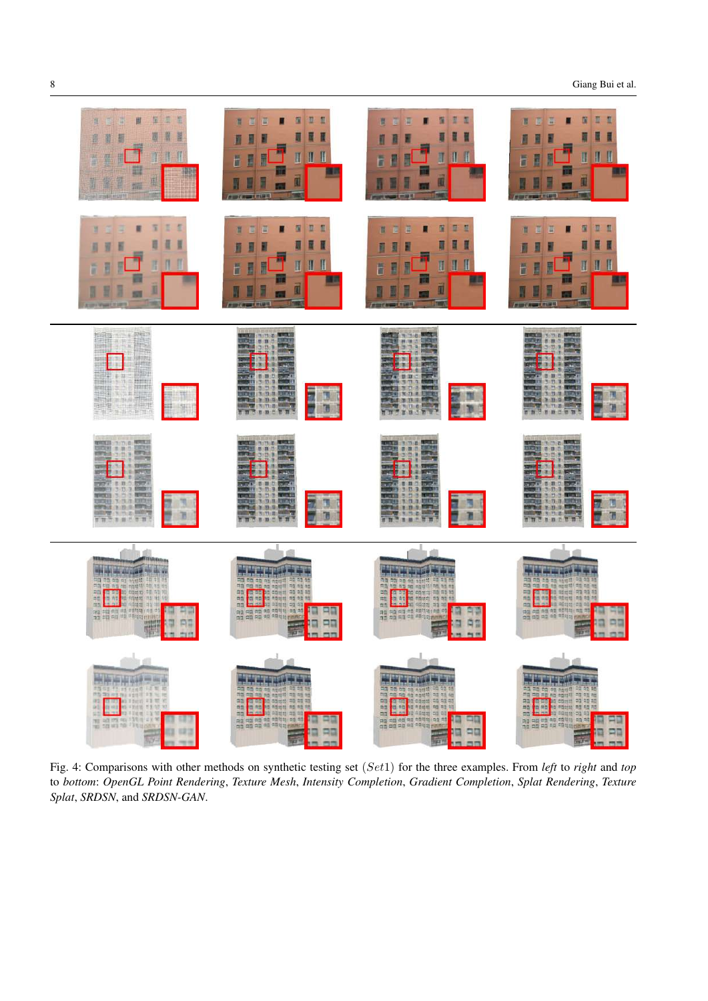8 Giang Bui et al.

<span id="page-7-0"></span>

Fig. 4: Comparisons with other methods on synthetic testing set (Set1) for the three examples. From *left* to *right* and *top* to *bottom*: *OpenGL Point Rendering*, *Texture Mesh*, *Intensity Completion*, *Gradient Completion*, *Splat Rendering*, *Texture Splat*, *SRDSN*, and *SRDSN-GAN*.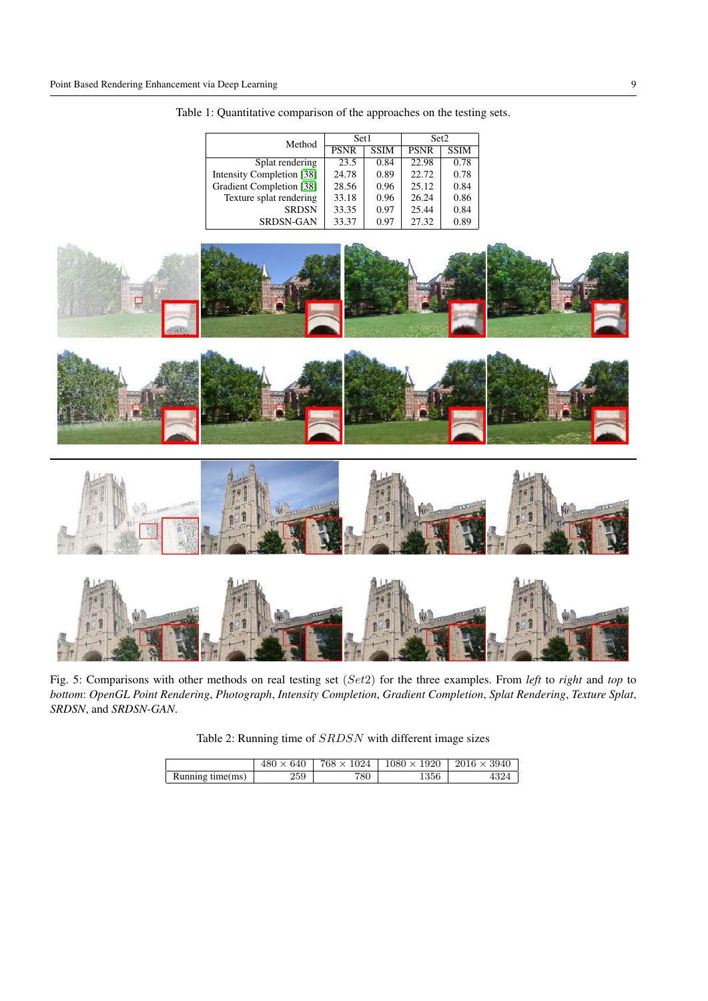| Method                    | Set1        |             | Set2        |             |
|---------------------------|-------------|-------------|-------------|-------------|
|                           | <b>PSNR</b> | <b>SSIM</b> | <b>PSNR</b> | <b>SSIM</b> |
| Splat rendering           | 23.5        | 0.84        | 22.98       | 0.78        |
| Intensity Completion [38] | 24.78       | 0.89        | 22.72       | 0.78        |
| Gradient Completion [38]  | 28.56       | 0.96        | 25.12       | 0.84        |
| Texture splat rendering   | 33.18       | 0.96        | 26.24       | 0.86        |
| <b>SRDSN</b>              | 33.35       | 0.97        | 25.44       | 0.84        |
| <b>SRDSN-GAN</b>          | 33.37       | 0.97        | 27.32       | 0.89        |

<span id="page-8-1"></span>Table 1: Quantitative comparison of the approaches on the testing sets.

<span id="page-8-0"></span>





Fig. 5: Comparisons with other methods on real testing set (Set2) for the three examples. From *left* to *right* and *top* to *bottom*: *OpenGL Point Rendering*, *Photograph*, *Intensity Completion*, *Gradient Completion*, *Splat Rendering*, *Texture Splat*, *SRDSN*, and *SRDSN-GAN*.

Table 2: Running time of SRDSN with different image sizes

<span id="page-8-2"></span>

|                  | $480 \times 640$ | $768 \times 1024$ | $1080 \times 1920$ | $2016 \times 3940$ |
|------------------|------------------|-------------------|--------------------|--------------------|
| Running time(ms) | 259              | 780               | 1356               | 4324               |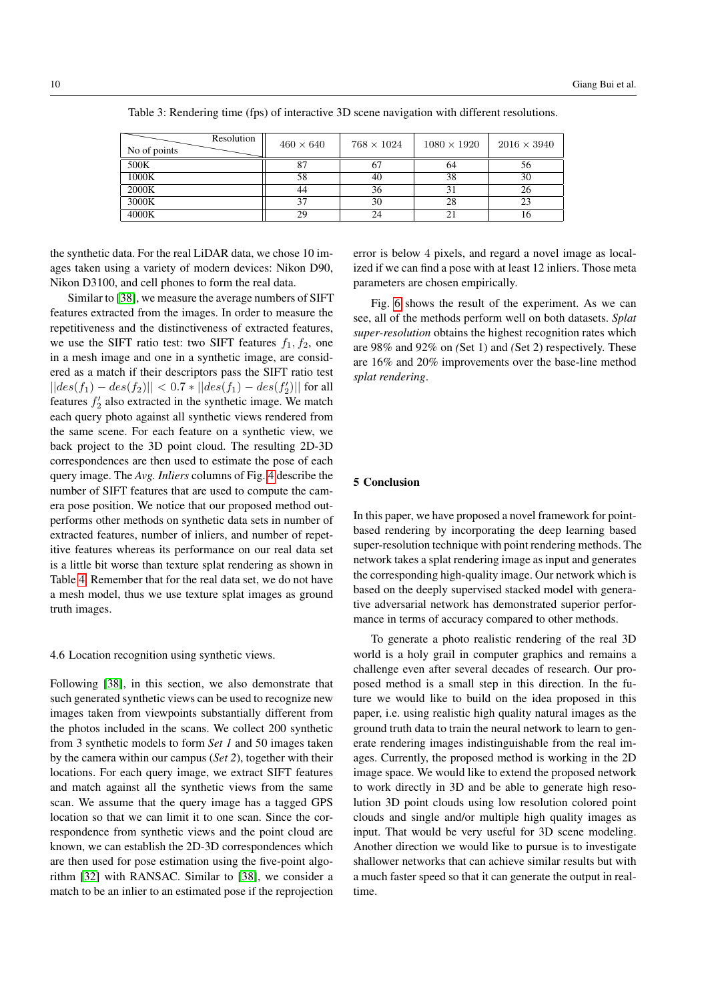<span id="page-9-1"></span>

|              | Resolution | $460 \times 640$ | $768 \times 1024$ | $1080 \times 1920$ | $2016 \times 3940$ |
|--------------|------------|------------------|-------------------|--------------------|--------------------|
| No of points |            |                  |                   |                    |                    |
| 500K         |            |                  |                   | 64                 | 56                 |
| 1000K        |            | 58               | 40                | 38                 | 30                 |
| 2000K        |            | 44               | 36                |                    | 26                 |
| 3000K        |            | 37               | 30                | 28                 | 23                 |
| 4000K        |            | 29               | 24                |                    | 10                 |

Table 3: Rendering time (fps) of interactive 3D scene navigation with different resolutions.

the synthetic data. For the real LiDAR data, we chose 10 images taken using a variety of modern devices: Nikon D90, Nikon D3100, and cell phones to form the real data.

Similar to [\[38\]](#page-11-0), we measure the average numbers of SIFT features extracted from the images. In order to measure the repetitiveness and the distinctiveness of extracted features, we use the SIFT ratio test: two SIFT features  $f_1, f_2$ , one in a mesh image and one in a synthetic image, are considered as a match if their descriptors pass the SIFT ratio test  $||des(f_1) - des(f_2)|| < 0.7 * ||des(f_1) - des(f'_2)||$  for all features  $f_2'$  also extracted in the synthetic image. We match each query photo against all synthetic views rendered from the same scene. For each feature on a synthetic view, we back project to the 3D point cloud. The resulting 2D-3D correspondences are then used to estimate the pose of each query image. The *Avg. Inliers* columns of Fig. [4](#page-10-8) describe the number of SIFT features that are used to compute the camera pose position. We notice that our proposed method outperforms other methods on synthetic data sets in number of extracted features, number of inliers, and number of repetitive features whereas its performance on our real data set is a little bit worse than texture splat rendering as shown in Table [4.](#page-10-8) Remember that for the real data set, we do not have a mesh model, thus we use texture splat images as ground truth images.

## 4.6 Location recognition using synthetic views.

Following [\[38\]](#page-11-0), in this section, we also demonstrate that such generated synthetic views can be used to recognize new images taken from viewpoints substantially different from the photos included in the scans. We collect 200 synthetic from 3 synthetic models to form *Set 1* and 50 images taken by the camera within our campus (*Set 2*), together with their locations. For each query image, we extract SIFT features and match against all the synthetic views from the same scan. We assume that the query image has a tagged GPS location so that we can limit it to one scan. Since the correspondence from synthetic views and the point cloud are known, we can establish the 2D-3D correspondences which are then used for pose estimation using the five-point algorithm [\[32\]](#page-11-40) with RANSAC. Similar to [\[38\]](#page-11-0), we consider a match to be an inlier to an estimated pose if the reprojection

error is below 4 pixels, and regard a novel image as localized if we can find a pose with at least 12 inliers. Those meta parameters are chosen empirically.

Fig. [6](#page-10-9) shows the result of the experiment. As we can see, all of the methods perform well on both datasets. *Splat super-resolution* obtains the highest recognition rates which are 98% and 92% on *(*Set 1) and *(*Set 2) respectively. These are 16% and 20% improvements over the base-line method *splat rendering*.

# <span id="page-9-0"></span>5 Conclusion

In this paper, we have proposed a novel framework for pointbased rendering by incorporating the deep learning based super-resolution technique with point rendering methods. The network takes a splat rendering image as input and generates the corresponding high-quality image. Our network which is based on the deeply supervised stacked model with generative adversarial network has demonstrated superior performance in terms of accuracy compared to other methods.

To generate a photo realistic rendering of the real 3D world is a holy grail in computer graphics and remains a challenge even after several decades of research. Our proposed method is a small step in this direction. In the future we would like to build on the idea proposed in this paper, i.e. using realistic high quality natural images as the ground truth data to train the neural network to learn to generate rendering images indistinguishable from the real images. Currently, the proposed method is working in the 2D image space. We would like to extend the proposed network to work directly in 3D and be able to generate high resolution 3D point clouds using low resolution colored point clouds and single and/or multiple high quality images as input. That would be very useful for 3D scene modeling. Another direction we would like to pursue is to investigate shallower networks that can achieve similar results but with a much faster speed so that it can generate the output in realtime.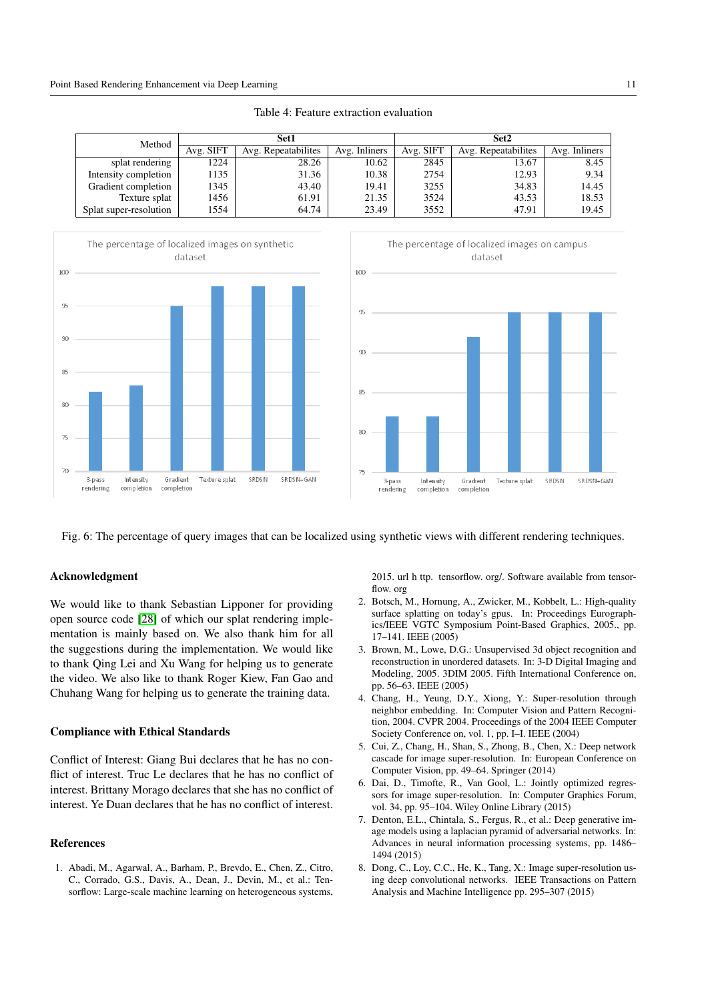<span id="page-10-8"></span>

| Method                 | Set1      |                     |               | Set2      |                     |               |
|------------------------|-----------|---------------------|---------------|-----------|---------------------|---------------|
|                        | Avg. SIFT | Avg. Repeatabilites | Avg. Inliners | Avg. SIFT | Avg. Repeatabilites | Avg. Inliners |
| splat rendering        | 1224      | 28.26               | 10.62         | 2845      | 13.67               | 8.45          |
| Intensity completion   | 1135      | 31.36               | 10.38         | 2754      | 12.93               | 9.34          |
| Gradient completion    | 1345      | 43.40               | 19.41         | 3255      | 34.83               | 14.45         |
| Texture splat          | 1456      | 61.91               | 21.35         | 3524      | 43.53               | 18.53         |
| Splat super-resolution | 1554      | 64.74               | 23.49         | 3552      | 47.91               | 19.45         |



<span id="page-10-9"></span>



Fig. 6: The percentage of query images that can be localized using synthetic views with different rendering techniques.

# Acknowledgment

We would like to thank Sebastian Lipponer for providing open source code [\[28\]](#page-11-41) of which our splat rendering implementation is mainly based on. We also thank him for all the suggestions during the implementation. We would like to thank Qing Lei and Xu Wang for helping us to generate the video. We also like to thank Roger Kiew, Fan Gao and Chuhang Wang for helping us to generate the training data.

# Compliance with Ethical Standards

Conflict of Interest: Giang Bui declares that he has no conflict of interest. Truc Le declares that he has no conflict of interest. Brittany Morago declares that she has no conflict of interest. Ye Duan declares that he has no conflict of interest.

# References

<span id="page-10-7"></span>1. Abadi, M., Agarwal, A., Barham, P., Brevdo, E., Chen, Z., Citro, C., Corrado, G.S., Davis, A., Dean, J., Devin, M., et al.: Tensorflow: Large-scale machine learning on heterogeneous systems, 2015. url h ttp. tensorflow. org/. Software available from tensorflow. org

- <span id="page-10-0"></span>2. Botsch, M., Hornung, A., Zwicker, M., Kobbelt, L.: High-quality surface splatting on today's gpus. In: Proceedings Eurographics/IEEE VGTC Symposium Point-Based Graphics, 2005., pp. 17–141. IEEE (2005)
- <span id="page-10-6"></span>3. Brown, M., Lowe, D.G.: Unsupervised 3d object recognition and reconstruction in unordered datasets. In: 3-D Digital Imaging and Modeling, 2005. 3DIM 2005. Fifth International Conference on, pp. 56–63. IEEE (2005)
- <span id="page-10-2"></span>4. Chang, H., Yeung, D.Y., Xiong, Y.: Super-resolution through neighbor embedding. In: Computer Vision and Pattern Recognition, 2004. CVPR 2004. Proceedings of the 2004 IEEE Computer Society Conference on, vol. 1, pp. I–I. IEEE (2004)
- <span id="page-10-3"></span>5. Cui, Z., Chang, H., Shan, S., Zhong, B., Chen, X.: Deep network cascade for image super-resolution. In: European Conference on Computer Vision, pp. 49–64. Springer (2014)
- <span id="page-10-1"></span>6. Dai, D., Timofte, R., Van Gool, L.: Jointly optimized regressors for image super-resolution. In: Computer Graphics Forum, vol. 34, pp. 95–104. Wiley Online Library (2015)
- <span id="page-10-5"></span>7. Denton, E.L., Chintala, S., Fergus, R., et al.: Deep generative image models using a laplacian pyramid of adversarial networks. In: Advances in neural information processing systems, pp. 1486– 1494 (2015)
- <span id="page-10-4"></span>8. Dong, C., Loy, C.C., He, K., Tang, X.: Image super-resolution using deep convolutional networks. IEEE Transactions on Pattern Analysis and Machine Intelligence pp. 295–307 (2015)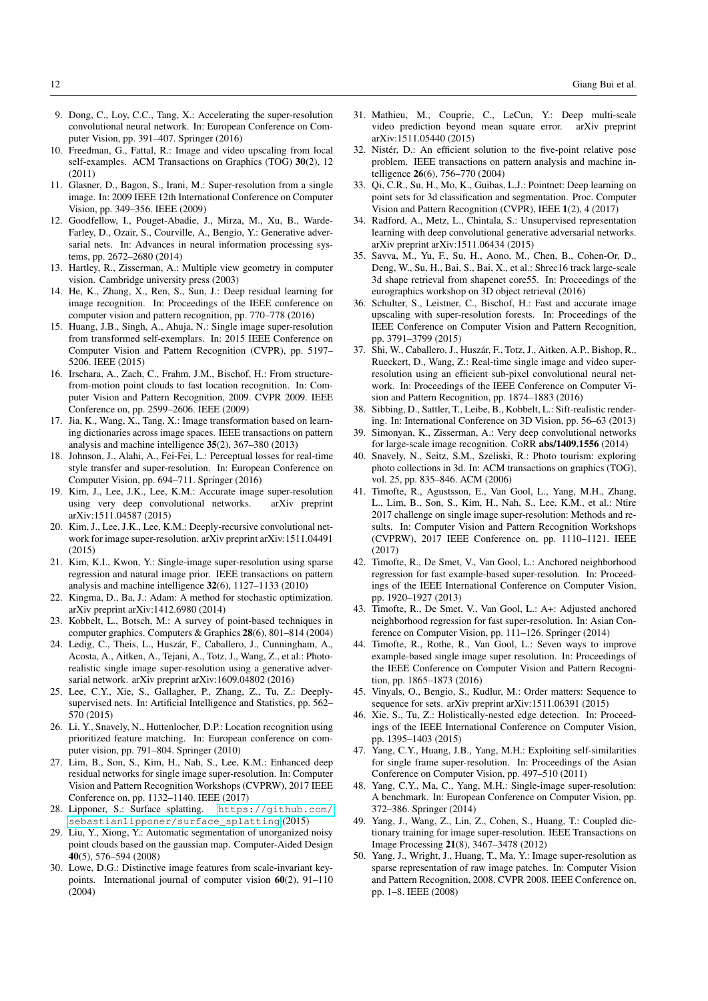- <span id="page-11-16"></span>9. Dong, C., Loy, C.C., Tang, X.: Accelerating the super-resolution convolutional neural network. In: European Conference on Computer Vision, pp. 391–407. Springer (2016)
- <span id="page-11-2"></span>10. Freedman, G., Fattal, R.: Image and video upscaling from local self-examples. ACM Transactions on Graphics (TOG) 30(2), 12 (2011)
- <span id="page-11-3"></span>11. Glasner, D., Bagon, S., Irani, M.: Super-resolution from a single image. In: 2009 IEEE 12th International Conference on Computer Vision, pp. 349–356. IEEE (2009)
- <span id="page-11-21"></span>12. Goodfellow, I., Pouget-Abadie, J., Mirza, M., Xu, B., Warde-Farley, D., Ozair, S., Courville, A., Bengio, Y.: Generative adversarial nets. In: Advances in neural information processing systems, pp. 2672–2680 (2014)
- <span id="page-11-26"></span>13. Hartley, R., Zisserman, A.: Multiple view geometry in computer vision. Cambridge university press (2003)
- <span id="page-11-18"></span>14. He, K., Zhang, X., Ren, S., Sun, J.: Deep residual learning for image recognition. In: Proceedings of the IEEE conference on computer vision and pattern recognition, pp. 770–778 (2016)
- <span id="page-11-4"></span>15. Huang, J.B., Singh, A., Ahuja, N.: Single image super-resolution from transformed self-exemplars. In: 2015 IEEE Conference on Computer Vision and Pattern Recognition (CVPR), pp. 5197– 5206. IEEE (2015)
- <span id="page-11-28"></span>16. Irschara, A., Zach, C., Frahm, J.M., Bischof, H.: From structurefrom-motion point clouds to fast location recognition. In: Computer Vision and Pattern Recognition, 2009. CVPR 2009. IEEE Conference on, pp. 2599–2606. IEEE (2009)
- <span id="page-11-6"></span>17. Jia, K., Wang, X., Tang, X.: Image transformation based on learning dictionaries across image spaces. IEEE transactions on pattern analysis and machine intelligence 35(2), 367–380 (2013)
- <span id="page-11-24"></span>18. Johnson, J., Alahi, A., Fei-Fei, L.: Perceptual losses for real-time style transfer and super-resolution. In: European Conference on Computer Vision, pp. 694–711. Springer (2016)
- <span id="page-11-14"></span>19. Kim, J., Lee, J.K., Lee, K.M.: Accurate image super-resolution using very deep convolutional networks. arXiv preprint arXiv:1511.04587 (2015)
- <span id="page-11-13"></span>20. Kim, J., Lee, J.K., Lee, K.M.: Deeply-recursive convolutional network for image super-resolution. arXiv preprint arXiv:1511.04491 (2015)
- <span id="page-11-7"></span>21. Kim, K.I., Kwon, Y.: Single-image super-resolution using sparse regression and natural image prior. IEEE transactions on pattern analysis and machine intelligence 32(6), 1127–1133 (2010)
- <span id="page-11-38"></span>22. Kingma, D., Ba, J.: Adam: A method for stochastic optimization. arXiv preprint arXiv:1412.6980 (2014)
- <span id="page-11-34"></span>23. Kobbelt, L., Botsch, M.: A survey of point-based techniques in computer graphics. Computers & Graphics 28(6), 801–814 (2004)
- <span id="page-11-17"></span>24. Ledig, C., Theis, L., Huszár, F., Caballero, J., Cunningham, A., Acosta, A., Aitken, A., Tejani, A., Totz, J., Wang, Z., et al.: Photorealistic single image super-resolution using a generative adversarial network. arXiv preprint arXiv:1609.04802 (2016)
- <span id="page-11-35"></span>25. Lee, C.Y., Xie, S., Gallagher, P., Zhang, Z., Tu, Z.: Deeplysupervised nets. In: Artificial Intelligence and Statistics, pp. 562– 570 (2015)
- <span id="page-11-29"></span>26. Li, Y., Snavely, N., Huttenlocher, D.P.: Location recognition using prioritized feature matching. In: European conference on computer vision, pp. 791–804. Springer (2010)
- <span id="page-11-19"></span>27. Lim, B., Son, S., Kim, H., Nah, S., Lee, K.M.: Enhanced deep residual networks for single image super-resolution. In: Computer Vision and Pattern Recognition Workshops (CVPRW), 2017 IEEE Conference on, pp. 1132–1140. IEEE (2017)
- <span id="page-11-41"></span>28. Lipponer, S.: Surface splatting. [https://github.com/](https://github.com/sebastianlipponer/surface_splatting) [sebastianlipponer/surface\\_splatting](https://github.com/sebastianlipponer/surface_splatting) (2015)
- <span id="page-11-33"></span>29. Liu, Y., Xiong, Y.: Automatic segmentation of unorganized noisy point clouds based on the gaussian map. Computer-Aided Design 40(5), 576–594 (2008)
- <span id="page-11-39"></span>30. Lowe, D.G.: Distinctive image features from scale-invariant keypoints. International journal of computer vision 60(2), 91–110 (2004)
- <span id="page-11-22"></span>31. Mathieu, M., Couprie, C., LeCun, Y.: Deep multi-scale video prediction beyond mean square error. arXiv preprint arXiv:1511.05440 (2015)
- <span id="page-11-40"></span>32. Nistér, D.: An efficient solution to the five-point relative pose problem. IEEE transactions on pattern analysis and machine intelligence 26(6), 756–770 (2004)
- <span id="page-11-30"></span>33. Qi, C.R., Su, H., Mo, K., Guibas, L.J.: Pointnet: Deep learning on point sets for 3d classification and segmentation. Proc. Computer Vision and Pattern Recognition (CVPR), IEEE 1(2), 4 (2017)
- <span id="page-11-23"></span>34. Radford, A., Metz, L., Chintala, S.: Unsupervised representation learning with deep convolutional generative adversarial networks. arXiv preprint arXiv:1511.06434 (2015)
- <span id="page-11-31"></span>35. Savva, M., Yu, F., Su, H., Aono, M., Chen, B., Cohen-Or, D., Deng, W., Su, H., Bai, S., Bai, X., et al.: Shrec16 track large-scale 3d shape retrieval from shapenet core55. In: Proceedings of the eurographics workshop on 3D object retrieval (2016)
- <span id="page-11-8"></span>36. Schulter, S., Leistner, C., Bischof, H.: Fast and accurate image upscaling with super-resolution forests. In: Proceedings of the IEEE Conference on Computer Vision and Pattern Recognition, pp. 3791–3799 (2015)
- <span id="page-11-15"></span>37. Shi, W., Caballero, J., Huszar, F., Totz, J., Aitken, A.P., Bishop, R., ´ Rueckert, D., Wang, Z.: Real-time single image and video superresolution using an efficient sub-pixel convolutional neural network. In: Proceedings of the IEEE Conference on Computer Vision and Pattern Recognition, pp. 1874–1883 (2016)
- <span id="page-11-0"></span>38. Sibbing, D., Sattler, T., Leibe, B., Kobbelt, L.: Sift-realistic rendering. In: International Conference on 3D Vision, pp. 56–63 (2013)
- <span id="page-11-25"></span>39. Simonyan, K., Zisserman, A.: Very deep convolutional networks for large-scale image recognition. CoRR abs/1409.1556 (2014)
- <span id="page-11-27"></span>40. Snavely, N., Seitz, S.M., Szeliski, R.: Photo tourism: exploring photo collections in 3d. In: ACM transactions on graphics (TOG), vol. 25, pp. 835–846. ACM (2006)
- <span id="page-11-20"></span>41. Timofte, R., Agustsson, E., Van Gool, L., Yang, M.H., Zhang, L., Lim, B., Son, S., Kim, H., Nah, S., Lee, K.M., et al.: Ntire 2017 challenge on single image super-resolution: Methods and results. In: Computer Vision and Pattern Recognition Workshops (CVPRW), 2017 IEEE Conference on, pp. 1110–1121. IEEE (2017)
- <span id="page-11-9"></span>42. Timofte, R., De Smet, V., Van Gool, L.: Anchored neighborhood regression for fast example-based super-resolution. In: Proceedings of the IEEE International Conference on Computer Vision, pp. 1920–1927 (2013)
- <span id="page-11-10"></span>43. Timofte, R., De Smet, V., Van Gool, L.: A+: Adjusted anchored neighborhood regression for fast super-resolution. In: Asian Conference on Computer Vision, pp. 111–126. Springer (2014)
- <span id="page-11-37"></span>44. Timofte, R., Rothe, R., Van Gool, L.: Seven ways to improve example-based single image super resolution. In: Proceedings of the IEEE Conference on Computer Vision and Pattern Recognition, pp. 1865–1873 (2016)
- <span id="page-11-32"></span>45. Vinyals, O., Bengio, S., Kudlur, M.: Order matters: Sequence to sequence for sets. arXiv preprint arXiv:1511.06391 (2015)
- <span id="page-11-36"></span>46. Xie, S., Tu, Z.: Holistically-nested edge detection. In: Proceedings of the IEEE International Conference on Computer Vision, pp. 1395–1403 (2015)
- <span id="page-11-5"></span>47. Yang, C.Y., Huang, J.B., Yang, M.H.: Exploiting self-similarities for single frame super-resolution. In: Proceedings of the Asian Conference on Computer Vision, pp. 497–510 (2011)
- <span id="page-11-1"></span>48. Yang, C.Y., Ma, C., Yang, M.H.: Single-image super-resolution: A benchmark. In: European Conference on Computer Vision, pp. 372–386. Springer (2014)
- <span id="page-11-11"></span>49. Yang, J., Wang, Z., Lin, Z., Cohen, S., Huang, T.: Coupled dictionary training for image super-resolution. IEEE Transactions on Image Processing 21(8), 3467–3478 (2012)
- <span id="page-11-12"></span>50. Yang, J., Wright, J., Huang, T., Ma, Y.: Image super-resolution as sparse representation of raw image patches. In: Computer Vision and Pattern Recognition, 2008. CVPR 2008. IEEE Conference on, pp. 1–8. IEEE (2008)